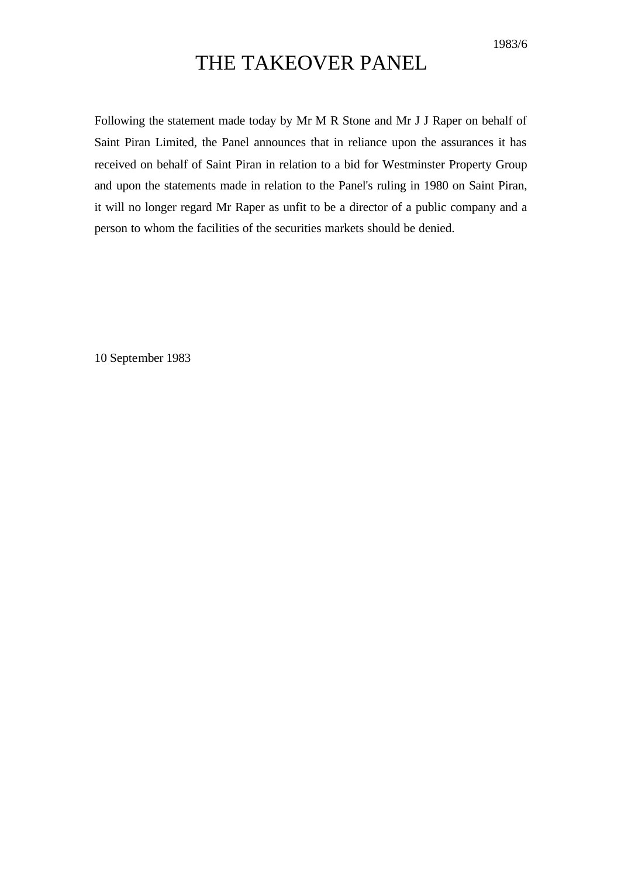## THE TAKEOVER PANEL

Following the statement made today by Mr M R Stone and Mr J J Raper on behalf of Saint Piran Limited, the Panel announces that in reliance upon the assurances it has received on behalf of Saint Piran in relation to a bid for Westminster Property Group and upon the statements made in relation to the Panel's ruling in 1980 on Saint Piran, it will no longer regard Mr Raper as unfit to be a director of a public company and a person to whom the facilities of the securities markets should be denied.

10 September 1983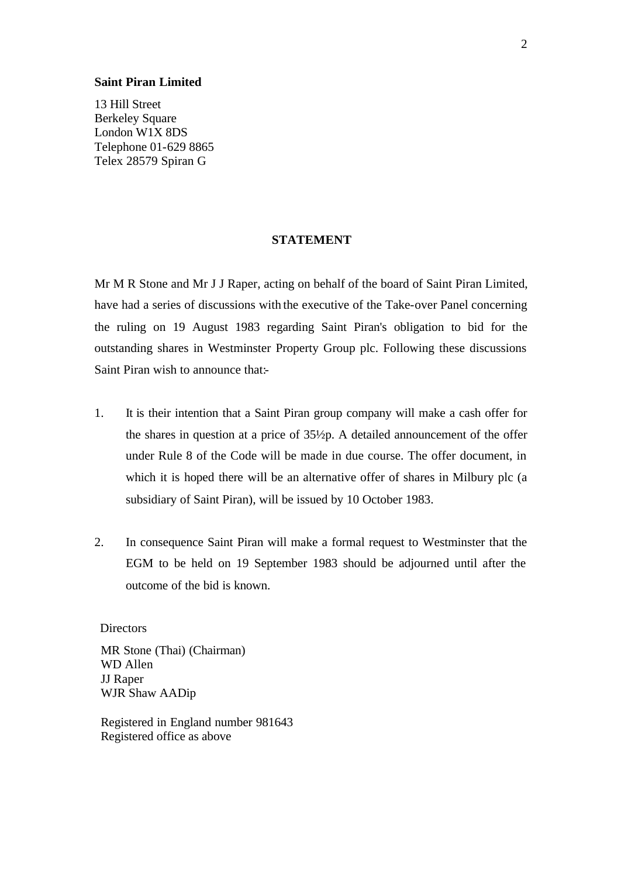## **Saint Piran Limited**

13 Hill Street Berkeley Square London W1X 8DS Telephone 01-629 8865 Telex 28579 Spiran G

## **STATEMENT**

Mr M R Stone and Mr J J Raper, acting on behalf of the board of Saint Piran Limited, have had a series of discussions with the executive of the Take-over Panel concerning the ruling on 19 August 1983 regarding Saint Piran's obligation to bid for the outstanding shares in Westminster Property Group plc. Following these discussions Saint Piran wish to announce that:-

- 1. It is their intention that a Saint Piran group company will make a cash offer for the shares in question at a price of 35½p. A detailed announcement of the offer under Rule 8 of the Code will be made in due course. The offer document, in which it is hoped there will be an alternative offer of shares in Milbury plc (a subsidiary of Saint Piran), will be issued by 10 October 1983.
- 2. In consequence Saint Piran will make a formal request to Westminster that the EGM to be held on 19 September 1983 should be adjourned until after the outcome of the bid is known.

**Directors** 

MR Stone (Thai) (Chairman) WD Allen JJ Raper WJR Shaw AADip

Registered in England number 981643 Registered office as above